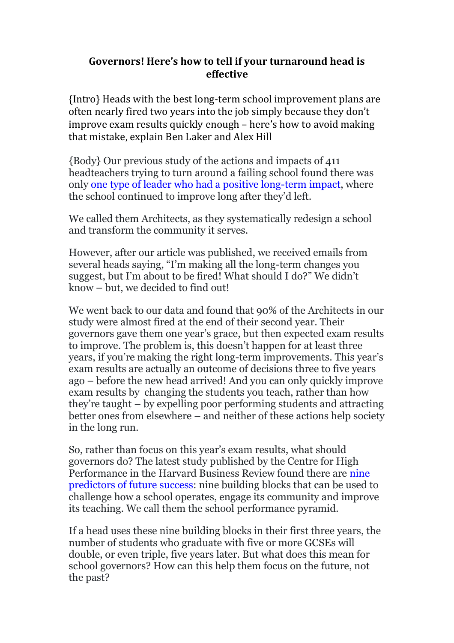## **Governors! Here's how to tell if your turnaround head is effective**

{Intro} Heads with the best long-term school improvement plans are often nearly fired two years into the job simply because they don't improve exam results quickly enough – here's how to avoid making that mistake, explain Ben Laker and Alex Hill

{Body} Our previous study of the actions and impacts of 411 headteachers trying to turn around a failing school found there was only [one type of leader who had a positive long-term impact,](https://hbr.org/2016/10/the-one-type-of-leader-who-can-turn-around-a-failing-school) where the school continued to improve long after they'd left.

We called them Architects, as they systematically redesign a school and transform the community it serves.

However, after our article was published, we received emails from several heads saying, "I'm making all the long-term changes you suggest, but I'm about to be fired! What should I do?" We didn't know – but, we decided to find out!

We went back to our data and found that 90% of the Architects in our study were almost fired at the end of their second year. Their governors gave them one year's grace, but then expected exam results to improve. The problem is, this doesn't happen for at least three years, if you're making the right long-term improvements. This year's exam results are actually an outcome of decisions three to five years ago – before the new head arrived! And you can only quickly improve exam results by changing the students you teach, rather than how they're taught – by expelling poor performing students and attracting better ones from elsewhere – and neither of these actions help society in the long run.

So, rather than focus on this year's exam results, what should governors do? The latest study published by the Centre for High Performance in the Harvard Business Review found there are [nine](http://schoolsweek.co.uk/?p=62937)  [predictors of future success:](http://schoolsweek.co.uk/?p=62937) nine building blocks that can be used to challenge how a school operates, engage its community and improve its teaching. We call them the school performance pyramid.

If a head uses these nine building blocks in their first three years, the number of students who graduate with five or more GCSEs will double, or even triple, five years later. But what does this mean for school governors? How can this help them focus on the future, not the past?